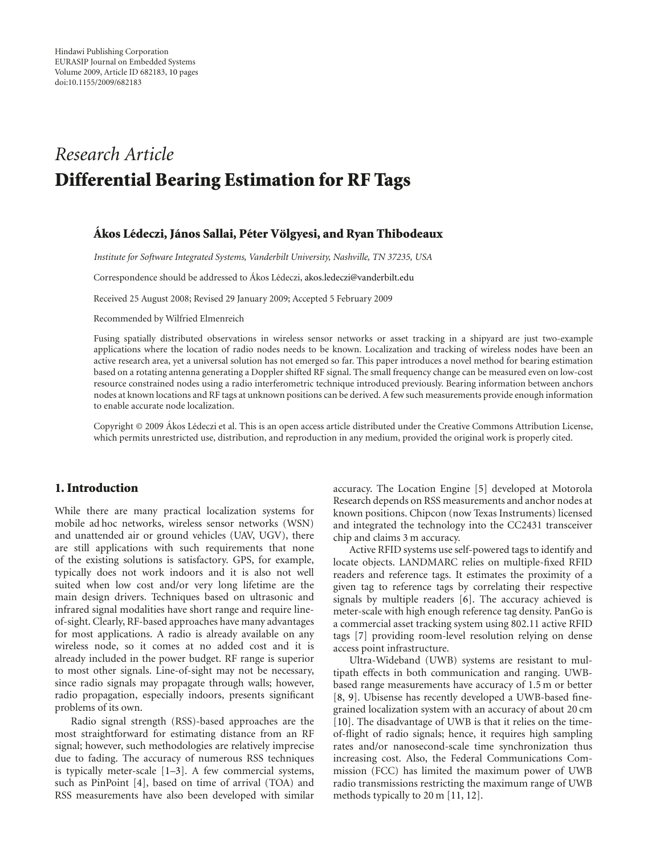# *Research Article* **Differential Bearing Estimation for RF Tags**

# **Akos L ´ edeczi, J ´ anos Sallai, P ´ eter V ´ olgyesi, and Ryan Thibodeaux ¨**

*Institute for Software Integrated Systems, Vanderbilt University, Nashville, TN 37235, USA*

Correspondence should be addressed to Ákos Lédeczi, akos.ledeczi@vanderbilt.edu

Received 25 August 2008; Revised 29 January 2009; Accepted 5 February 2009

Recommended by Wilfried Elmenreich

Fusing spatially distributed observations in wireless sensor networks or asset tracking in a shipyard are just two-example applications where the location of radio nodes needs to be known. Localization and tracking of wireless nodes have been an active research area, yet a universal solution has not emerged so far. This paper introduces a novel method for bearing estimation based on a rotating antenna generating a Doppler shifted RF signal. The small frequency change can be measured even on low-cost resource constrained nodes using a radio interferometric technique introduced previously. Bearing information between anchors nodes at known locations and RF tags at unknown positions can be derived. A few such measurements provide enough information to enable accurate node localization.

Copyright © 2009 Ákos Lédeczi et al. This is an open access article distributed under the Creative Commons Attribution License, which permits unrestricted use, distribution, and reproduction in any medium, provided the original work is properly cited.

# **1. Introduction**

While there are many practical localization systems for mobile ad hoc networks, wireless sensor networks (WSN) and unattended air or ground vehicles (UAV, UGV), there are still applications with such requirements that none of the existing solutions is satisfactory. GPS, for example, typically does not work indoors and it is also not well suited when low cost and/or very long lifetime are the main design drivers. Techniques based on ultrasonic and infrared signal modalities have short range and require lineof-sight. Clearly, RF-based approaches have many advantages for most applications. A radio is already available on any wireless node, so it comes at no added cost and it is already included in the power budget. RF range is superior to most other signals. Line-of-sight may not be necessary, since radio signals may propagate through walls; however, radio propagation, especially indoors, presents significant problems of its own.

Radio signal strength (RSS)-based approaches are the most straightforward for estimating distance from an RF signal; however, such methodologies are relatively imprecise due to fading. The accuracy of numerous RSS techniques is typically meter-scale [1–3]. A few commercial systems, such as PinPoint [4], based on time of arrival (TOA) and RSS measurements have also been developed with similar

accuracy. The Location Engine [5] developed at Motorola Research depends on RSS measurements and anchor nodes at known positions. Chipcon (now Texas Instruments) licensed and integrated the technology into the CC2431 transceiver chip and claims 3 m accuracy.

Active RFID systems use self-powered tags to identify and locate objects. LANDMARC relies on multiple-fixed RFID readers and reference tags. It estimates the proximity of a given tag to reference tags by correlating their respective signals by multiple readers [6]. The accuracy achieved is meter-scale with high enough reference tag density. PanGo is a commercial asset tracking system using 802.11 active RFID tags [7] providing room-level resolution relying on dense access point infrastructure.

Ultra-Wideband (UWB) systems are resistant to multipath effects in both communication and ranging. UWBbased range measurements have accuracy of 1.5 m or better [8, 9]. Ubisense has recently developed a UWB-based finegrained localization system with an accuracy of about 20 cm [10]. The disadvantage of UWB is that it relies on the timeof-flight of radio signals; hence, it requires high sampling rates and/or nanosecond-scale time synchronization thus increasing cost. Also, the Federal Communications Commission (FCC) has limited the maximum power of UWB radio transmissions restricting the maximum range of UWB methods typically to 20 m [11, 12].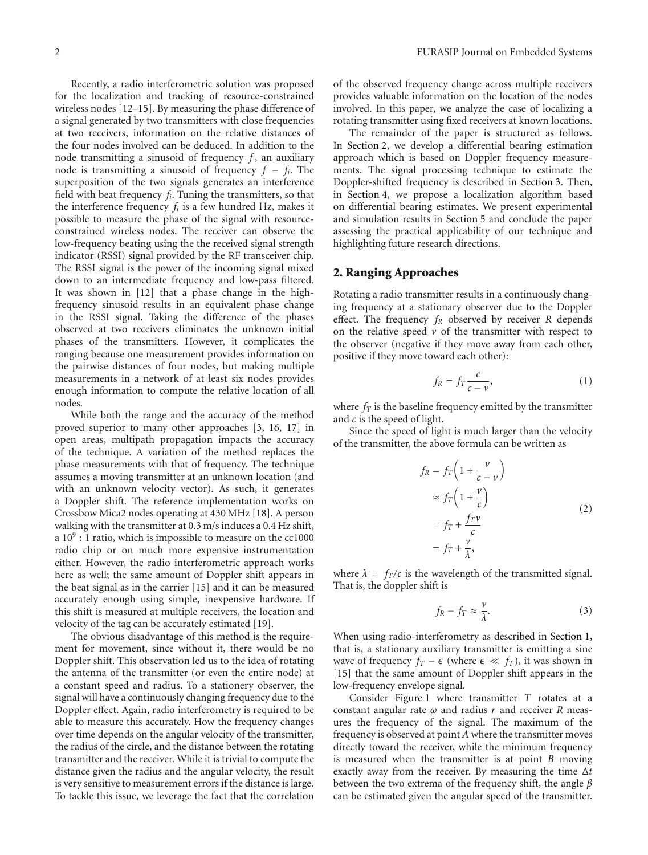Recently, a radio interferometric solution was proposed for the localization and tracking of resource-constrained wireless nodes [12–15]. By measuring the phase difference of a signal generated by two transmitters with close frequencies at two receivers, information on the relative distances of the four nodes involved can be deduced. In addition to the node transmitting a sinusoid of frequency *f* , an auxiliary node is transmitting a sinusoid of frequency *f* − *fi*. The superposition of the two signals generates an interference field with beat frequency *fi*. Tuning the transmitters, so that the interference frequency  $f_i$  is a few hundred Hz, makes it possible to measure the phase of the signal with resourceconstrained wireless nodes. The receiver can observe the low-frequency beating using the the received signal strength indicator (RSSI) signal provided by the RF transceiver chip. The RSSI signal is the power of the incoming signal mixed down to an intermediate frequency and low-pass filtered. It was shown in [12] that a phase change in the highfrequency sinusoid results in an equivalent phase change in the RSSI signal. Taking the difference of the phases observed at two receivers eliminates the unknown initial phases of the transmitters. However, it complicates the ranging because one measurement provides information on the pairwise distances of four nodes, but making multiple measurements in a network of at least six nodes provides enough information to compute the relative location of all nodes.

While both the range and the accuracy of the method proved superior to many other approaches [3, 16, 17] in open areas, multipath propagation impacts the accuracy of the technique. A variation of the method replaces the phase measurements with that of frequency. The technique assumes a moving transmitter at an unknown location (and with an unknown velocity vector). As such, it generates a Doppler shift. The reference implementation works on Crossbow Mica2 nodes operating at 430 MHz [18]. A person walking with the transmitter at 0.3 m/s induces a 0.4 Hz shift, a  $10^9$ : 1 ratio, which is impossible to measure on the cc1000 radio chip or on much more expensive instrumentation either. However, the radio interferometric approach works here as well; the same amount of Doppler shift appears in the beat signal as in the carrier [15] and it can be measured accurately enough using simple, inexpensive hardware. If this shift is measured at multiple receivers, the location and velocity of the tag can be accurately estimated [19].

The obvious disadvantage of this method is the requirement for movement, since without it, there would be no Doppler shift. This observation led us to the idea of rotating the antenna of the transmitter (or even the entire node) at a constant speed and radius. To a stationery observer, the signal will have a continuously changing frequency due to the Doppler effect. Again, radio interferometry is required to be able to measure this accurately. How the frequency changes over time depends on the angular velocity of the transmitter, the radius of the circle, and the distance between the rotating transmitter and the receiver. While it is trivial to compute the distance given the radius and the angular velocity, the result is very sensitive to measurement errors if the distance is large. To tackle this issue, we leverage the fact that the correlation

of the observed frequency change across multiple receivers provides valuable information on the location of the nodes involved. In this paper, we analyze the case of localizing a rotating transmitter using fixed receivers at known locations.

The remainder of the paper is structured as follows. In Section 2, we develop a differential bearing estimation approach which is based on Doppler frequency measurements. The signal processing technique to estimate the Doppler-shifted frequency is described in Section 3. Then, in Section 4, we propose a localization algorithm based on differential bearing estimates. We present experimental and simulation results in Section 5 and conclude the paper assessing the practical applicability of our technique and highlighting future research directions.

### **2. Ranging Approaches**

Rotating a radio transmitter results in a continuously changing frequency at a stationary observer due to the Doppler effect. The frequency  $f_R$  observed by receiver  $R$  depends on the relative speed  $\nu$  of the transmitter with respect to the observer (negative if they move away from each other, positive if they move toward each other):

$$
f_R = f_T \frac{c}{c - \nu},\tag{1}
$$

where  $f_T$  is the baseline frequency emitted by the transmitter and *c* is the speed of light.

Since the speed of light is much larger than the velocity of the transmitter, the above formula can be written as

$$
f_R = f_T \left( 1 + \frac{v}{c - v} \right)
$$
  
\n
$$
\approx f_T \left( 1 + \frac{v}{c} \right)
$$
  
\n
$$
= f_T + \frac{f_T v}{c}
$$
  
\n
$$
= f_T + \frac{v}{\lambda},
$$
\n(2)

where  $\lambda = f_T/c$  is the wavelength of the transmitted signal. That is, the doppler shift is

$$
f_R - f_T \approx \frac{\nu}{\lambda}.\tag{3}
$$

When using radio-interferometry as described in Section 1, that is, a stationary auxiliary transmitter is emitting a sine wave of frequency  $f_T - \epsilon$  (where  $\epsilon \ll f_T$ ), it was shown in [15] that the same amount of Doppler shift appears in the low-frequency envelope signal.

Consider Figure 1 where transmitter *T* rotates at a constant angular rate *ω* and radius *r* and receiver *R* measures the frequency of the signal. The maximum of the frequency is observed at point *A* where the transmitter moves directly toward the receiver, while the minimum frequency is measured when the transmitter is at point *B* moving exactly away from the receiver. By measuring the time Δ*t* between the two extrema of the frequency shift, the angle *β* can be estimated given the angular speed of the transmitter.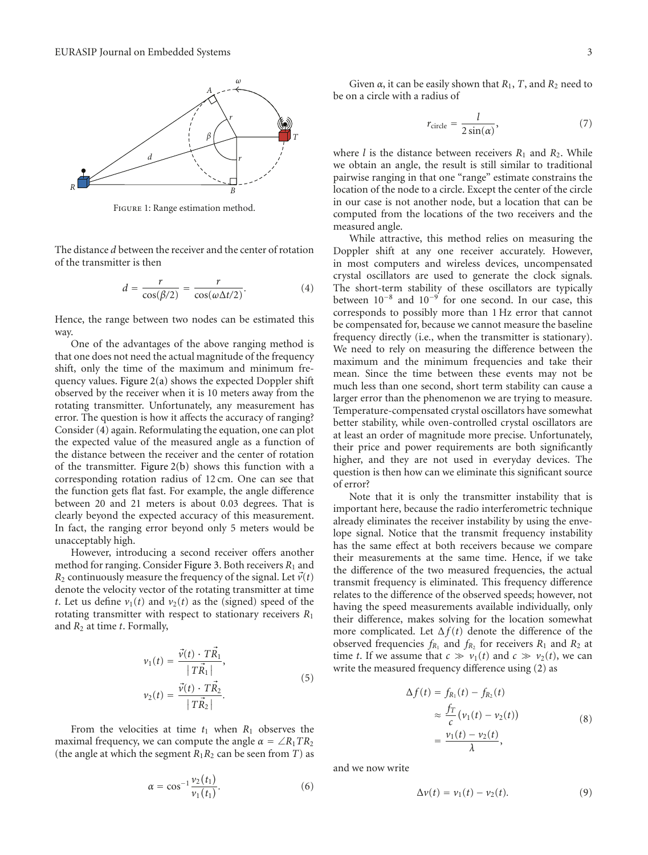

FIGURE 1: Range estimation method.

The distance *d* between the receiver and the center of rotation of the transmitter is then

$$
d = \frac{r}{\cos(\beta/2)} = \frac{r}{\cos(\omega \Delta t/2)}.
$$
 (4)

Hence, the range between two nodes can be estimated this way.

One of the advantages of the above ranging method is that one does not need the actual magnitude of the frequency shift, only the time of the maximum and minimum frequency values. Figure  $2(a)$  shows the expected Doppler shift observed by the receiver when it is 10 meters away from the rotating transmitter. Unfortunately, any measurement has error. The question is how it affects the accuracy of ranging? Consider (4) again. Reformulating the equation, one can plot the expected value of the measured angle as a function of the distance between the receiver and the center of rotation of the transmitter. Figure 2(b) shows this function with a corresponding rotation radius of 12 cm. One can see that the function gets flat fast. For example, the angle difference between 20 and 21 meters is about 0.03 degrees. That is clearly beyond the expected accuracy of this measurement. In fact, the ranging error beyond only 5 meters would be unacceptably high.

However, introducing a second receiver offers another method for ranging. Consider Figure 3. Both receivers *R*<sup>1</sup> and  $R_2$  continuously measure the frequency of the signal. Let  $\vec{v}(t)$ denote the velocity vector of the rotating transmitter at time *t*. Let us define  $v_1(t)$  and  $v_2(t)$  as the (signed) speed of the rotating transmitter with respect to stationary receivers *R*<sup>1</sup> and *R*<sup>2</sup> at time *t*. Formally,

$$
\nu_1(t) = \frac{\vec{v}(t) \cdot T\vec{R}_1}{|T\vec{R}_1|},
$$
  
\n
$$
\nu_2(t) = \frac{\vec{v}(t) \cdot T\vec{R}_2}{|T\vec{R}_2|}.
$$
\n(5)

From the velocities at time  $t_1$  when  $R_1$  observes the maximal frequency, we can compute the angle  $\alpha = \angle R_1TR_2$ (the angle at which the segment  $R_1R_2$  can be seen from *T*) as

$$
\alpha = \cos^{-1} \frac{\nu_2(t_1)}{\nu_1(t_1)}.
$$
 (6)

Given  $\alpha$ , it can be easily shown that  $R_1$ ,  $T$ , and  $R_2$  need to be on a circle with a radius of

$$
r_{\text{circle}} = \frac{l}{2\sin(\alpha)},\tag{7}
$$

where *l* is the distance between receivers  $R_1$  and  $R_2$ . While we obtain an angle, the result is still similar to traditional pairwise ranging in that one "range" estimate constrains the location of the node to a circle. Except the center of the circle in our case is not another node, but a location that can be computed from the locations of the two receivers and the measured angle.

While attractive, this method relies on measuring the Doppler shift at any one receiver accurately. However, in most computers and wireless devices, uncompensated crystal oscillators are used to generate the clock signals. The short-term stability of these oscillators are typically between  $10^{-8}$  and  $10^{-9}$  for one second. In our case, this corresponds to possibly more than 1 Hz error that cannot be compensated for, because we cannot measure the baseline frequency directly (i.e., when the transmitter is stationary). We need to rely on measuring the difference between the maximum and the minimum frequencies and take their mean. Since the time between these events may not be much less than one second, short term stability can cause a larger error than the phenomenon we are trying to measure. Temperature-compensated crystal oscillators have somewhat better stability, while oven-controlled crystal oscillators are at least an order of magnitude more precise. Unfortunately, their price and power requirements are both significantly higher, and they are not used in everyday devices. The question is then how can we eliminate this significant source of error?

Note that it is only the transmitter instability that is important here, because the radio interferometric technique already eliminates the receiver instability by using the envelope signal. Notice that the transmit frequency instability has the same effect at both receivers because we compare their measurements at the same time. Hence, if we take the difference of the two measured frequencies, the actual transmit frequency is eliminated. This frequency difference relates to the difference of the observed speeds; however, not having the speed measurements available individually, only their difference, makes solving for the location somewhat more complicated. Let  $\Delta f(t)$  denote the difference of the observed frequencies  $f_{R_1}$  and  $f_{R_2}$  for receivers  $R_1$  and  $R_2$  at time *t*. If we assume that  $c \gg v_1(t)$  and  $c \gg v_2(t)$ , we can write the measured frequency difference using (2) as

$$
\Delta f(t) = f_{R_1}(t) - f_{R_2}(t)
$$
  
\n
$$
\approx \frac{f_T}{c} (\nu_1(t) - \nu_2(t))
$$
  
\n
$$
= \frac{\nu_1(t) - \nu_2(t)}{\lambda},
$$
\n(8)

and we now write

$$
\Delta v(t) = v_1(t) - v_2(t). \tag{9}
$$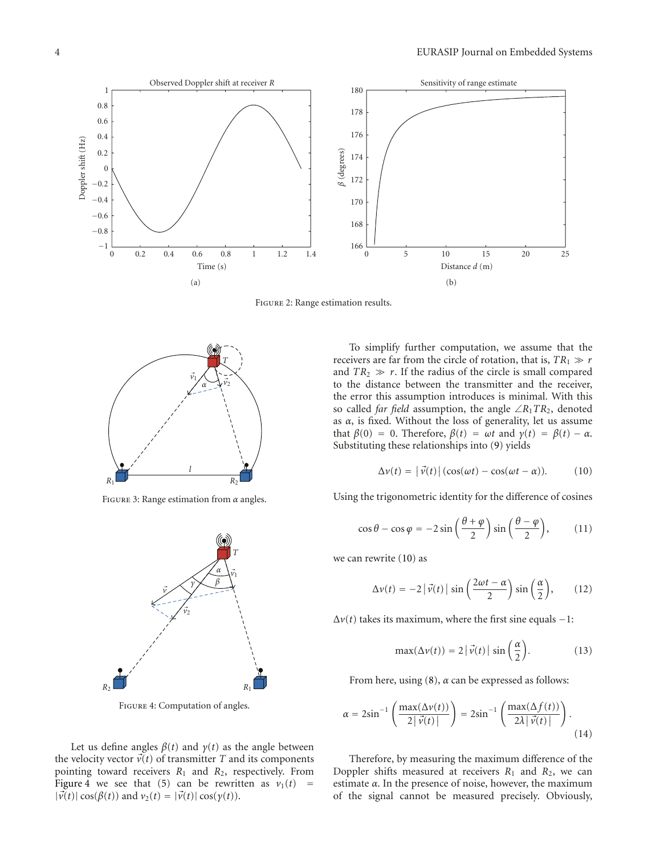

Figure 2: Range estimation results.



Figure 3: Range estimation from *α* angles.



Figure 4: Computation of angles.

Let us define angles  $\beta(t)$  and  $\gamma(t)$  as the angle between the velocity vector  $\vec{v}(t)$  of transmitter *T* and its components pointing toward receivers *R*<sup>1</sup> and *R*2, respectively. From Figure 4 we see that (5) can be rewritten as  $v_1(t)$  =  $|\vec{v}(t)| \cos(\beta(t))$  and  $v_2(t) = |\vec{v}(t)| \cos(\gamma(t))$ .

To simplify further computation, we assume that the receivers are far from the circle of rotation, that is,  $TR_1 \gg r$ and  $TR_2 \gg r$ . If the radius of the circle is small compared to the distance between the transmitter and the receiver, the error this assumption introduces is minimal. With this so called *far field* assumption, the angle ∠*R*1*TR*2, denoted as *α*, is fixed. Without the loss of generality, let us assume that  $\beta(0) = 0$ . Therefore,  $\beta(t) = \omega t$  and  $\gamma(t) = \beta(t) - \alpha$ . Substituting these relationships into (9) yields

$$
\Delta v(t) = |\vec{v}(t)| (\cos(\omega t) - \cos(\omega t - \alpha)). \tag{10}
$$

Using the trigonometric identity for the difference of cosines

$$
\cos\theta - \cos\varphi = -2\sin\left(\frac{\theta + \varphi}{2}\right)\sin\left(\frac{\theta - \varphi}{2}\right),\tag{11}
$$

we can rewrite (10) as

$$
\Delta v(t) = -2|\vec{v}(t)|\sin\left(\frac{2\omega t - \alpha}{2}\right)\sin\left(\frac{\alpha}{2}\right),\qquad(12)
$$

 $\Delta v(t)$  takes its maximum, where the first sine equals  $-1$ :

$$
\max(\Delta v(t)) = 2|\vec{v}(t)|\sin\left(\frac{\alpha}{2}\right).
$$
 (13)

From here, using  $(8)$ ,  $\alpha$  can be expressed as follows:

$$
\alpha = 2\sin^{-1}\left(\frac{\max(\Delta v(t))}{2|\vec{v}(t)|}\right) = 2\sin^{-1}\left(\frac{\max(\Delta f(t))}{2\lambda|\vec{v}(t)|}\right).
$$
\n(14)

Therefore, by measuring the maximum difference of the Doppler shifts measured at receivers  $R_1$  and  $R_2$ , we can estimate *α*. In the presence of noise, however, the maximum of the signal cannot be measured precisely. Obviously,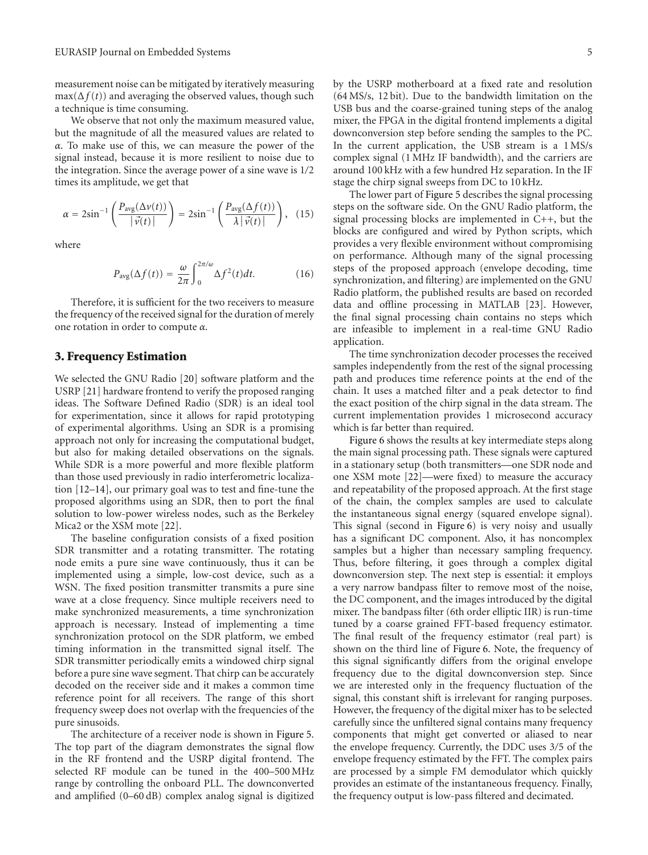measurement noise can be mitigated by iteratively measuring  $max(\Delta f(t))$  and averaging the observed values, though such a technique is time consuming.

We observe that not only the maximum measured value, but the magnitude of all the measured values are related to *α*. To make use of this, we can measure the power of the signal instead, because it is more resilient to noise due to the integration. Since the average power of a sine wave is 1*/*2 times its amplitude, we get that

$$
\alpha = 2\sin^{-1}\left(\frac{P_{\text{avg}}(\Delta v(t))}{|\vec{v}(t)|}\right) = 2\sin^{-1}\left(\frac{P_{\text{avg}}(\Delta f(t))}{\lambda |\vec{v}(t)|}\right), \quad (15)
$$

where

$$
P_{\text{avg}}(\Delta f(t)) = \frac{\omega}{2\pi} \int_0^{2\pi/\omega} \Delta f^2(t) dt.
$$
 (16)

Therefore, it is sufficient for the two receivers to measure the frequency of the received signal for the duration of merely one rotation in order to compute *α*.

## **3. Frequency Estimation**

We selected the GNU Radio [20] software platform and the USRP [21] hardware frontend to verify the proposed ranging ideas. The Software Defined Radio (SDR) is an ideal tool for experimentation, since it allows for rapid prototyping of experimental algorithms. Using an SDR is a promising approach not only for increasing the computational budget, but also for making detailed observations on the signals. While SDR is a more powerful and more flexible platform than those used previously in radio interferometric localization [12–14], our primary goal was to test and fine-tune the proposed algorithms using an SDR, then to port the final solution to low-power wireless nodes, such as the Berkeley Mica2 or the XSM mote [22].

The baseline configuration consists of a fixed position SDR transmitter and a rotating transmitter. The rotating node emits a pure sine wave continuously, thus it can be implemented using a simple, low-cost device, such as a WSN. The fixed position transmitter transmits a pure sine wave at a close frequency. Since multiple receivers need to make synchronized measurements, a time synchronization approach is necessary. Instead of implementing a time synchronization protocol on the SDR platform, we embed timing information in the transmitted signal itself. The SDR transmitter periodically emits a windowed chirp signal before a pure sine wave segment. That chirp can be accurately decoded on the receiver side and it makes a common time reference point for all receivers. The range of this short frequency sweep does not overlap with the frequencies of the pure sinusoids.

The architecture of a receiver node is shown in Figure 5. The top part of the diagram demonstrates the signal flow in the RF frontend and the USRP digital frontend. The selected RF module can be tuned in the 400–500 MHz range by controlling the onboard PLL. The downconverted and amplified (0–60 dB) complex analog signal is digitized

by the USRP motherboard at a fixed rate and resolution (64 MS/s, 12 bit). Due to the bandwidth limitation on the USB bus and the coarse-grained tuning steps of the analog mixer, the FPGA in the digital frontend implements a digital downconversion step before sending the samples to the PC. In the current application, the USB stream is a 1 MS/s complex signal (1 MHz IF bandwidth), and the carriers are around 100 kHz with a few hundred Hz separation. In the IF stage the chirp signal sweeps from DC to 10 kHz.

The lower part of Figure 5 describes the signal processing steps on the software side. On the GNU Radio platform, the signal processing blocks are implemented in C++, but the blocks are configured and wired by Python scripts, which provides a very flexible environment without compromising on performance. Although many of the signal processing steps of the proposed approach (envelope decoding, time synchronization, and filtering) are implemented on the GNU Radio platform, the published results are based on recorded data and offline processing in MATLAB [23]. However, the final signal processing chain contains no steps which are infeasible to implement in a real-time GNU Radio application.

The time synchronization decoder processes the received samples independently from the rest of the signal processing path and produces time reference points at the end of the chain. It uses a matched filter and a peak detector to find the exact position of the chirp signal in the data stream. The current implementation provides 1 microsecond accuracy which is far better than required.

Figure 6 shows the results at key intermediate steps along the main signal processing path. These signals were captured in a stationary setup (both transmitters—one SDR node and one XSM mote [22]—were fixed) to measure the accuracy and repeatability of the proposed approach. At the first stage of the chain, the complex samples are used to calculate the instantaneous signal energy (squared envelope signal). This signal (second in Figure 6) is very noisy and usually has a significant DC component. Also, it has noncomplex samples but a higher than necessary sampling frequency. Thus, before filtering, it goes through a complex digital downconversion step. The next step is essential: it employs a very narrow bandpass filter to remove most of the noise, the DC component, and the images introduced by the digital mixer. The bandpass filter (6th order elliptic IIR) is run-time tuned by a coarse grained FFT-based frequency estimator. The final result of the frequency estimator (real part) is shown on the third line of Figure 6. Note, the frequency of this signal significantly differs from the original envelope frequency due to the digital downconversion step. Since we are interested only in the frequency fluctuation of the signal, this constant shift is irrelevant for ranging purposes. However, the frequency of the digital mixer has to be selected carefully since the unfiltered signal contains many frequency components that might get converted or aliased to near the envelope frequency. Currently, the DDC uses 3*/*5 of the envelope frequency estimated by the FFT. The complex pairs are processed by a simple FM demodulator which quickly provides an estimate of the instantaneous frequency. Finally, the frequency output is low-pass filtered and decimated.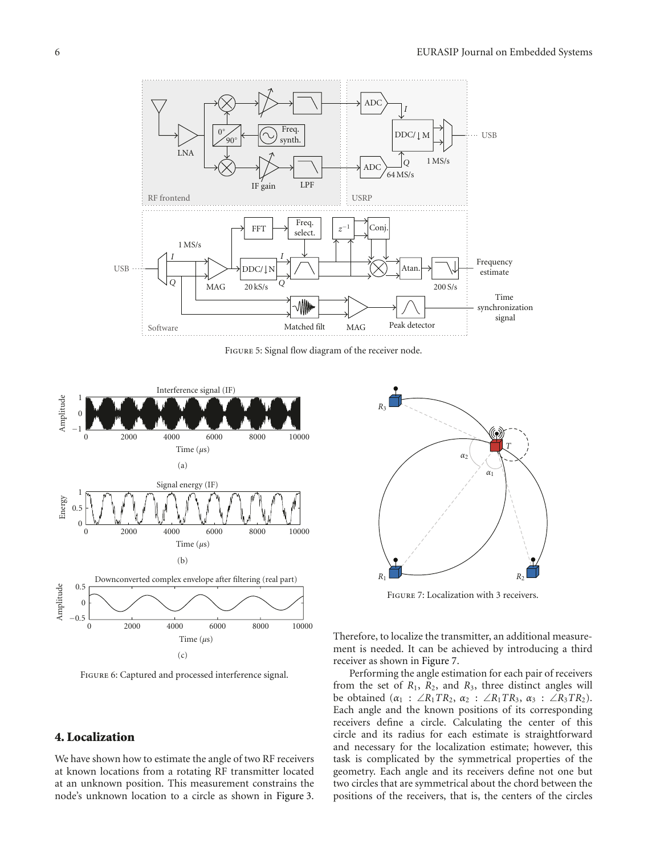

FIGURE 5: Signal flow diagram of the receiver node.



Figure 6: Captured and processed interference signal.

# **4. Localization**

We have shown how to estimate the angle of two RF receivers at known locations from a rotating RF transmitter located at an unknown position. This measurement constrains the node's unknown location to a circle as shown in Figure 3.



Figure 7: Localization with 3 receivers.

Therefore, to localize the transmitter, an additional measurement is needed. It can be achieved by introducing a third receiver as shown in Figure 7.

Performing the angle estimation for each pair of receivers from the set of *R*1, *R*2, and *R*3, three distinct angles will be obtained  $(\alpha_1 : \angle R_1TR_2, \alpha_2 : \angle R_1TR_3, \alpha_3 : \angle R_3TR_2)$ . Each angle and the known positions of its corresponding receivers define a circle. Calculating the center of this circle and its radius for each estimate is straightforward and necessary for the localization estimate; however, this task is complicated by the symmetrical properties of the geometry. Each angle and its receivers define not one but two circles that are symmetrical about the chord between the positions of the receivers, that is, the centers of the circles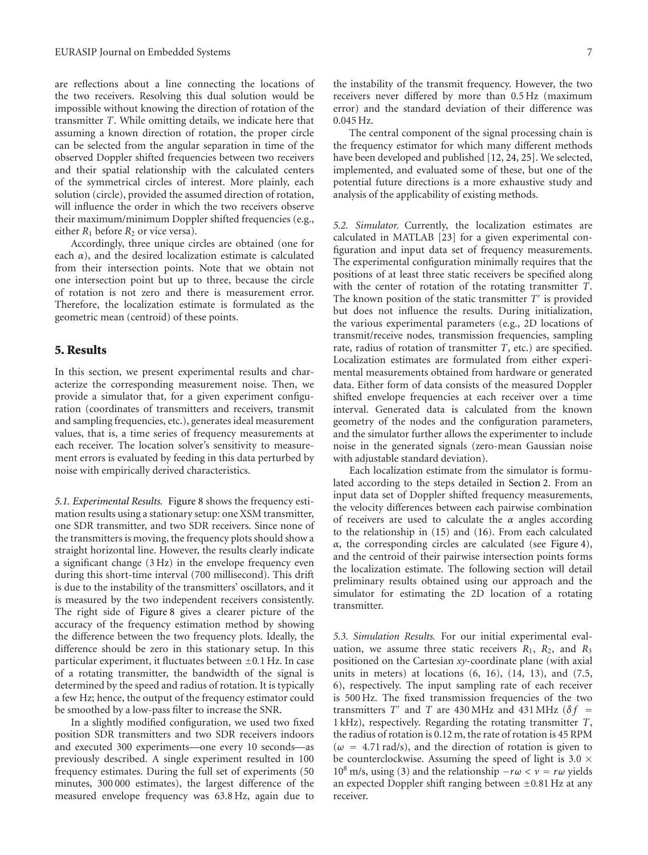are reflections about a line connecting the locations of the two receivers. Resolving this dual solution would be impossible without knowing the direction of rotation of the transmitter *T*. While omitting details, we indicate here that assuming a known direction of rotation, the proper circle can be selected from the angular separation in time of the observed Doppler shifted frequencies between two receivers and their spatial relationship with the calculated centers of the symmetrical circles of interest. More plainly, each solution (circle), provided the assumed direction of rotation, will influence the order in which the two receivers observe their maximum/minimum Doppler shifted frequencies (e.g., either  $R_1$  before  $R_2$  or vice versa).

Accordingly, three unique circles are obtained (one for each *α*), and the desired localization estimate is calculated from their intersection points. Note that we obtain not one intersection point but up to three, because the circle of rotation is not zero and there is measurement error. Therefore, the localization estimate is formulated as the geometric mean (centroid) of these points.

## **5. Results**

In this section, we present experimental results and characterize the corresponding measurement noise. Then, we provide a simulator that, for a given experiment configuration (coordinates of transmitters and receivers, transmit and sampling frequencies, etc.), generates ideal measurement values, that is, a time series of frequency measurements at each receiver. The location solver's sensitivity to measurement errors is evaluated by feeding in this data perturbed by noise with empirically derived characteristics.

*5.1. Experimental Results.* Figure 8 shows the frequency estimation results using a stationary setup: one XSM transmitter, one SDR transmitter, and two SDR receivers. Since none of the transmitters is moving, the frequency plots should show a straight horizontal line. However, the results clearly indicate a significant change (3 Hz) in the envelope frequency even during this short-time interval (700 millisecond). This drift is due to the instability of the transmitters' oscillators, and it is measured by the two independent receivers consistently. The right side of Figure 8 gives a clearer picture of the accuracy of the frequency estimation method by showing the difference between the two frequency plots. Ideally, the difference should be zero in this stationary setup. In this particular experiment, it fluctuates between ±0*.*1 Hz. In case of a rotating transmitter, the bandwidth of the signal is determined by the speed and radius of rotation. It is typically a few Hz; hence, the output of the frequency estimator could be smoothed by a low-pass filter to increase the SNR.

In a slightly modified configuration, we used two fixed position SDR transmitters and two SDR receivers indoors and executed 300 experiments—one every 10 seconds—as previously described. A single experiment resulted in 100 frequency estimates. During the full set of experiments (50 minutes, 300 000 estimates), the largest difference of the measured envelope frequency was 63.8 Hz, again due to

the instability of the transmit frequency. However, the two receivers never differed by more than 0.5 Hz (maximum error) and the standard deviation of their difference was 0.045 Hz.

The central component of the signal processing chain is the frequency estimator for which many different methods have been developed and published [12, 24, 25]. We selected, implemented, and evaluated some of these, but one of the potential future directions is a more exhaustive study and analysis of the applicability of existing methods.

*5.2. Simulator.* Currently, the localization estimates are calculated in MATLAB [23] for a given experimental configuration and input data set of frequency measurements. The experimental configuration minimally requires that the positions of at least three static receivers be specified along with the center of rotation of the rotating transmitter *T*. The known position of the static transmitter *T'* is provided but does not influence the results. During initialization, the various experimental parameters (e.g., 2D locations of transmit/receive nodes, transmission frequencies, sampling rate, radius of rotation of transmitter *T*, etc.) are specified. Localization estimates are formulated from either experimental measurements obtained from hardware or generated data. Either form of data consists of the measured Doppler shifted envelope frequencies at each receiver over a time interval. Generated data is calculated from the known geometry of the nodes and the configuration parameters, and the simulator further allows the experimenter to include noise in the generated signals (zero-mean Gaussian noise with adjustable standard deviation).

Each localization estimate from the simulator is formulated according to the steps detailed in Section 2. From an input data set of Doppler shifted frequency measurements, the velocity differences between each pairwise combination of receivers are used to calculate the *α* angles according to the relationship in (15) and (16). From each calculated *α*, the corresponding circles are calculated (see Figure 4), and the centroid of their pairwise intersection points forms the localization estimate. The following section will detail preliminary results obtained using our approach and the simulator for estimating the 2D location of a rotating transmitter.

*5.3. Simulation Results.* For our initial experimental evaluation, we assume three static receivers  $R_1$ ,  $R_2$ , and  $R_3$ positioned on the Cartesian *xy*-coordinate plane (with axial units in meters) at locations  $(6, 16)$ ,  $(14, 13)$ , and  $(7.5, 16)$ 6), respectively. The input sampling rate of each receiver is 500 Hz. The fixed transmission frequencies of the two transmitters *T'* and *T* are 430 MHz and 431 MHz ( $\delta f$  = 1 kHz), respectively. Regarding the rotating transmitter *T*, the radius of rotation is 0.12 m, the rate of rotation is 45 RPM  $(\omega = 4.71 \text{ rad/s})$ , and the direction of rotation is given to be counterclockwise. Assuming the speed of light is 3*.*0 ×  $10^8$  m/s, using (3) and the relationship  $-r\omega < v = r\omega$  yields an expected Doppler shift ranging between ±0*.*81 Hz at any receiver.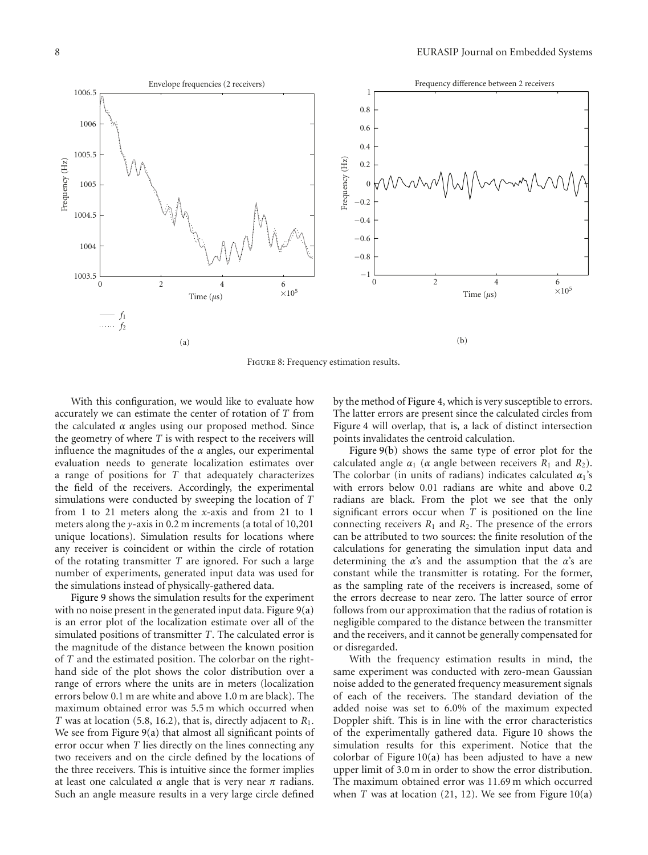

FIGURE 8: Frequency estimation results.

With this configuration, we would like to evaluate how accurately we can estimate the center of rotation of *T* from the calculated *α* angles using our proposed method. Since the geometry of where *T* is with respect to the receivers will influence the magnitudes of the *α* angles, our experimental evaluation needs to generate localization estimates over a range of positions for *T* that adequately characterizes the field of the receivers. Accordingly, the experimental simulations were conducted by sweeping the location of *T* from 1 to 21 meters along the *x*-axis and from 21 to 1 meters along the *y*-axis in 0.2 m increments (a total of 10,201 unique locations). Simulation results for locations where any receiver is coincident or within the circle of rotation of the rotating transmitter *T* are ignored. For such a large number of experiments, generated input data was used for the simulations instead of physically-gathered data.

Figure 9 shows the simulation results for the experiment with no noise present in the generated input data. Figure 9(a) is an error plot of the localization estimate over all of the simulated positions of transmitter *T*. The calculated error is the magnitude of the distance between the known position of *T* and the estimated position. The colorbar on the righthand side of the plot shows the color distribution over a range of errors where the units are in meters (localization errors below 0.1 m are white and above 1.0 m are black). The maximum obtained error was 5.5 m which occurred when *T* was at location (5.8, 16.2), that is, directly adjacent to *R*1. We see from Figure 9(a) that almost all significant points of error occur when *T* lies directly on the lines connecting any two receivers and on the circle defined by the locations of the three receivers. This is intuitive since the former implies at least one calculated  $\alpha$  angle that is very near  $\pi$  radians. Such an angle measure results in a very large circle defined

by the method of Figure 4, which is very susceptible to errors. The latter errors are present since the calculated circles from Figure 4 will overlap, that is, a lack of distinct intersection points invalidates the centroid calculation.

Figure 9(b) shows the same type of error plot for the calculated angle  $\alpha_1$  ( $\alpha$  angle between receivers  $R_1$  and  $R_2$ ). The colorbar (in units of radians) indicates calculated  $\alpha_1$ 's with errors below 0.01 radians are white and above 0.2 radians are black. From the plot we see that the only significant errors occur when *T* is positioned on the line connecting receivers  $R_1$  and  $R_2$ . The presence of the errors can be attributed to two sources: the finite resolution of the calculations for generating the simulation input data and determining the *α*'s and the assumption that the *α*'s are constant while the transmitter is rotating. For the former, as the sampling rate of the receivers is increased, some of the errors decrease to near zero. The latter source of error follows from our approximation that the radius of rotation is negligible compared to the distance between the transmitter and the receivers, and it cannot be generally compensated for or disregarded.

With the frequency estimation results in mind, the same experiment was conducted with zero-mean Gaussian noise added to the generated frequency measurement signals of each of the receivers. The standard deviation of the added noise was set to 6.0% of the maximum expected Doppler shift. This is in line with the error characteristics of the experimentally gathered data. Figure 10 shows the simulation results for this experiment. Notice that the colorbar of Figure 10(a) has been adjusted to have a new upper limit of 3.0 m in order to show the error distribution. The maximum obtained error was 11.69 m which occurred when *T* was at location (21, 12). We see from Figure 10(a)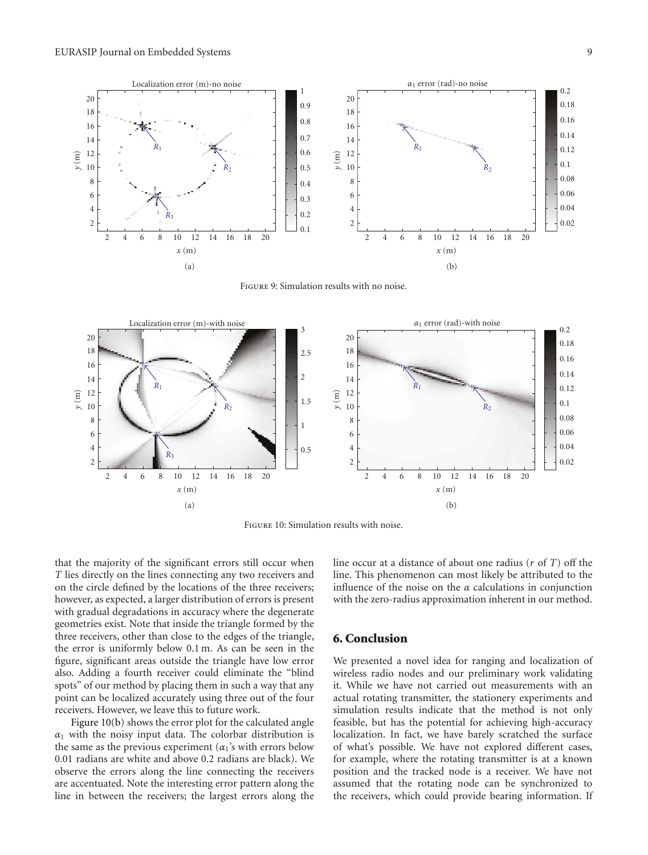

Figure 9: Simulation results with no noise.



Figure 10: Simulation results with noise.

that the majority of the significant errors still occur when *T* lies directly on the lines connecting any two receivers and on the circle defined by the locations of the three receivers; however, as expected, a larger distribution of errors is present with gradual degradations in accuracy where the degenerate geometries exist. Note that inside the triangle formed by the three receivers, other than close to the edges of the triangle, the error is uniformly below 0.1 m. As can be seen in the figure, significant areas outside the triangle have low error also. Adding a fourth receiver could eliminate the "blind spots" of our method by placing them in such a way that any point can be localized accurately using three out of the four receivers. However, we leave this to future work.

Figure 10(b) shows the error plot for the calculated angle  $\alpha_1$  with the noisy input data. The colorbar distribution is the same as the previous experiment  $(\alpha_1)$ 's with errors below 0.01 radians are white and above 0.2 radians are black). We observe the errors along the line connecting the receivers are accentuated. Note the interesting error pattern along the line in between the receivers; the largest errors along the

line occur at a distance of about one radius (*r* of *T*) off the line. This phenomenon can most likely be attributed to the influence of the noise on the *α* calculations in conjunction with the zero-radius approximation inherent in our method.

#### **6. Conclusion**

We presented a novel idea for ranging and localization of wireless radio nodes and our preliminary work validating it. While we have not carried out measurements with an actual rotating transmitter, the stationery experiments and simulation results indicate that the method is not only feasible, but has the potential for achieving high-accuracy localization. In fact, we have barely scratched the surface of what's possible. We have not explored different cases, for example, where the rotating transmitter is at a known position and the tracked node is a receiver. We have not assumed that the rotating node can be synchronized to the receivers, which could provide bearing information. If